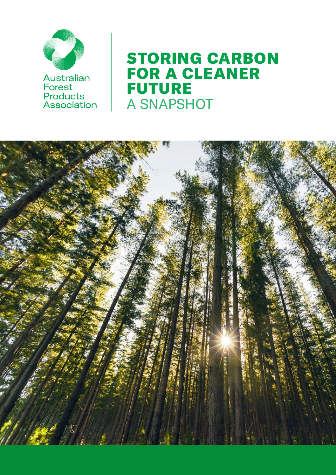

# STORING CARBON FOR A CLEANER FUTURE A SNAPSHOT

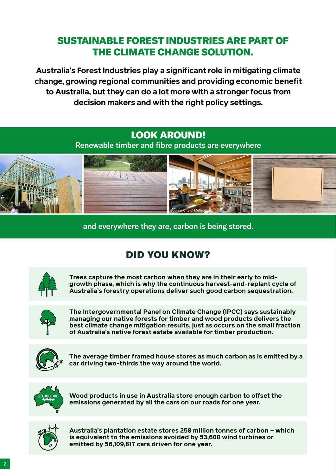### SUSTAINABLE FOREST INDUSTRIES ARE PART OF THE CLIMATE CHANGE SOLUTION.

**Australia's Forest Industries play a significant role in mitigating climate change, growing regional communities and providing economic benefit to Australia, but they can do a lot more with a stronger focus from decision makers and with the right policy settings.**

### LOOK AROUND!

Renewable timber and fibre products are everywhere



and everywhere they are, carbon is being stored.

## DID YOU KNOW?



**Trees capture the most carbon when they are in their early to midgrowth phase, which is why the continuous harvest-and-replant cycle of Australia's forestry operations deliver such good carbon sequestration.**



**The Intergovernmental Panel on Climate Change (IPCC) says sustainably managing our native forests for timber and wood products delivers the best climate change mitigation results, just as occurs on the small fraction of Australia's native forest estate available for timber production.**



**The average timber framed house stores as much carbon as is emitted by a car driving two-thirds the way around the world.**



**Wood products in use in Australia store enough carbon to offset the emissions generated by all the cars on our roads for one year.**



**Australia's plantation estate stores 258 million tonnes of carbon – which is equivalent to the emissions avoided by 53,600 wind turbines or emitted by 56,109,817 cars driven for one year.**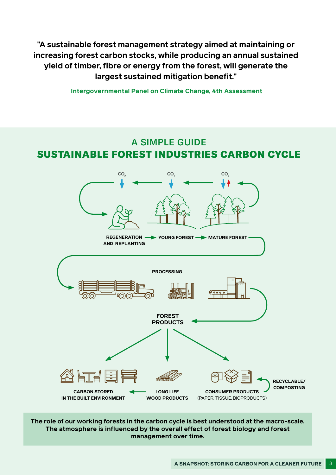**"A sustainable forest management strategy aimed at maintaining or increasing forest carbon stocks, while producing an annual sustained yield of timber, fibre or energy from the forest, will generate the largest sustained mitigation benefit."** 

 **Intergovernmental Panel on Climate Change, 4th Assessment**

#### A SIMPLE GUIDE SUSTAINABLE FOREST INDUSTRIES CARBON CYCLE



**The role of our working forests in the carbon cycle is best understood at the macro-scale. The atmosphere is influenced by the overall effect of forest biology and forest management over time.**